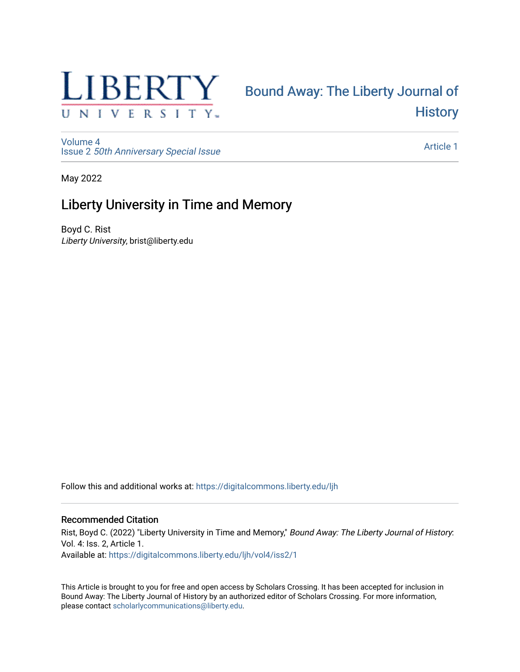

# [Bound Away: The Liberty Journal of](https://digitalcommons.liberty.edu/ljh)  **History**

[Volume 4](https://digitalcommons.liberty.edu/ljh/vol4) Issue 2 [50th Anniversary Special Issue](https://digitalcommons.liberty.edu/ljh/vol4/iss2)

[Article 1](https://digitalcommons.liberty.edu/ljh/vol4/iss2/1) 

May 2022

## Liberty University in Time and Memory

Boyd C. Rist Liberty University, brist@liberty.edu

Follow this and additional works at: [https://digitalcommons.liberty.edu/ljh](https://digitalcommons.liberty.edu/ljh?utm_source=digitalcommons.liberty.edu%2Fljh%2Fvol4%2Fiss2%2F1&utm_medium=PDF&utm_campaign=PDFCoverPages)

#### Recommended Citation

Rist, Boyd C. (2022) "Liberty University in Time and Memory," Bound Away: The Liberty Journal of History. Vol. 4: Iss. 2, Article 1. Available at: [https://digitalcommons.liberty.edu/ljh/vol4/iss2/1](https://digitalcommons.liberty.edu/ljh/vol4/iss2/1?utm_source=digitalcommons.liberty.edu%2Fljh%2Fvol4%2Fiss2%2F1&utm_medium=PDF&utm_campaign=PDFCoverPages) 

This Article is brought to you for free and open access by Scholars Crossing. It has been accepted for inclusion in Bound Away: The Liberty Journal of History by an authorized editor of Scholars Crossing. For more information, please contact [scholarlycommunications@liberty.edu.](mailto:scholarlycommunications@liberty.edu)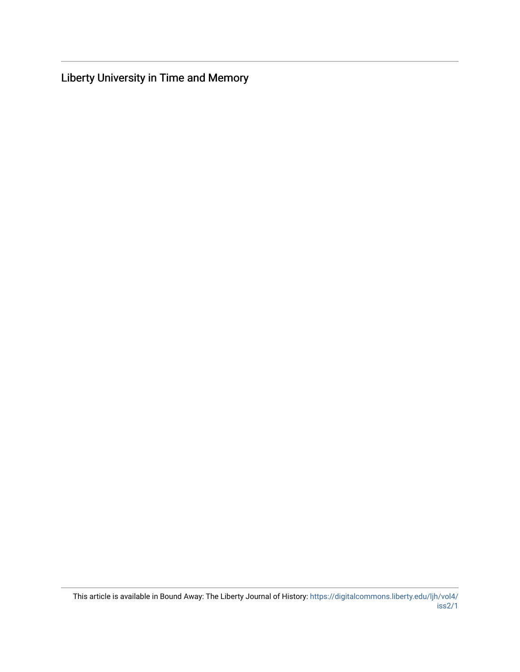Liberty University in Time and Memory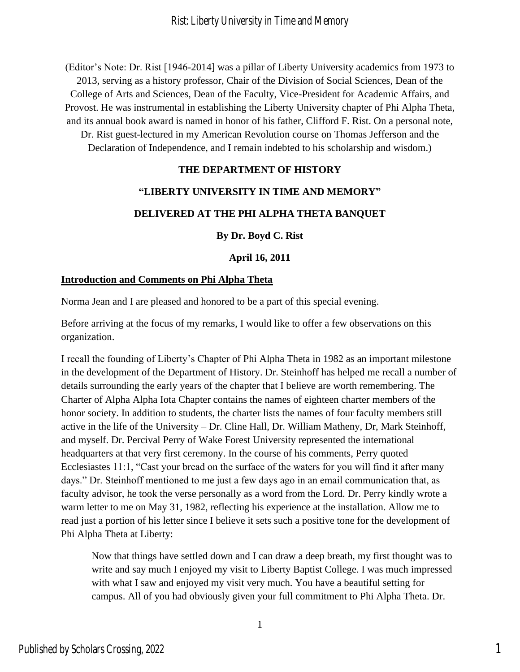(Editor's Note: Dr. Rist [1946-2014] was a pillar of Liberty University academics from 1973 to 2013, serving as a history professor, Chair of the Division of Social Sciences, Dean of the College of Arts and Sciences, Dean of the Faculty, Vice-President for Academic Affairs, and Provost. He was instrumental in establishing the Liberty University chapter of Phi Alpha Theta, and its annual book award is named in honor of his father, Clifford F. Rist. On a personal note, Dr. Rist guest-lectured in my American Revolution course on Thomas Jefferson and the

Declaration of Independence, and I remain indebted to his scholarship and wisdom.)

## **THE DEPARTMENT OF HISTORY**

## **"LIBERTY UNIVERSITY IN TIME AND MEMORY"**

## **DELIVERED AT THE PHI ALPHA THETA BANQUET**

**By Dr. Boyd C. Rist**

## **April 16, 2011**

#### **Introduction and Comments on Phi Alpha Theta**

Norma Jean and I are pleased and honored to be a part of this special evening.

Before arriving at the focus of my remarks, I would like to offer a few observations on this organization.

I recall the founding of Liberty's Chapter of Phi Alpha Theta in 1982 as an important milestone in the development of the Department of History. Dr. Steinhoff has helped me recall a number of details surrounding the early years of the chapter that I believe are worth remembering. The Charter of Alpha Alpha Iota Chapter contains the names of eighteen charter members of the honor society. In addition to students, the charter lists the names of four faculty members still active in the life of the University – Dr. Cline Hall, Dr. William Matheny, Dr, Mark Steinhoff, and myself. Dr. Percival Perry of Wake Forest University represented the international headquarters at that very first ceremony. In the course of his comments, Perry quoted Ecclesiastes 11:1, "Cast your bread on the surface of the waters for you will find it after many days." Dr. Steinhoff mentioned to me just a few days ago in an email communication that, as faculty advisor, he took the verse personally as a word from the Lord. Dr. Perry kindly wrote a warm letter to me on May 31, 1982, reflecting his experience at the installation. Allow me to read just a portion of his letter since I believe it sets such a positive tone for the development of Phi Alpha Theta at Liberty:

Now that things have settled down and I can draw a deep breath, my first thought was to write and say much I enjoyed my visit to Liberty Baptist College. I was much impressed with what I saw and enjoyed my visit very much. You have a beautiful setting for campus. All of you had obviously given your full commitment to Phi Alpha Theta. Dr.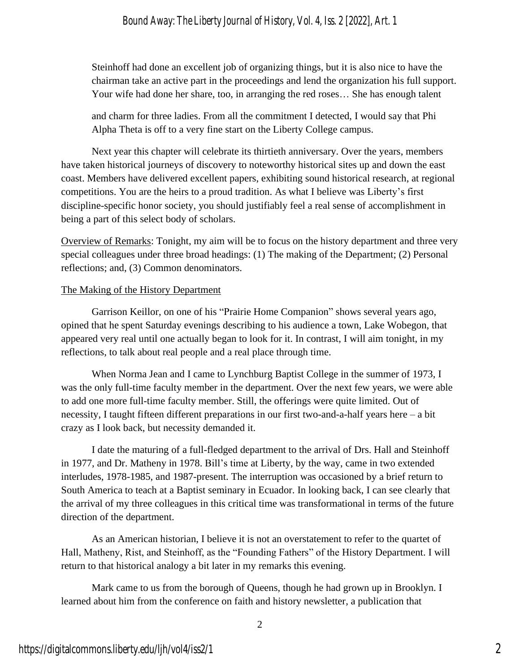## *Bound Away: The Liberty Journal of History, Vol. 4, Iss. 2 [2022], Art. 1*

Steinhoff had done an excellent job of organizing things, but it is also nice to have the chairman take an active part in the proceedings and lend the organization his full support. Your wife had done her share, too, in arranging the red roses… She has enough talent

and charm for three ladies. From all the commitment I detected, I would say that Phi Alpha Theta is off to a very fine start on the Liberty College campus.

Next year this chapter will celebrate its thirtieth anniversary. Over the years, members have taken historical journeys of discovery to noteworthy historical sites up and down the east coast. Members have delivered excellent papers, exhibiting sound historical research, at regional competitions. You are the heirs to a proud tradition. As what I believe was Liberty's first discipline-specific honor society, you should justifiably feel a real sense of accomplishment in being a part of this select body of scholars.

Overview of Remarks: Tonight, my aim will be to focus on the history department and three very special colleagues under three broad headings: (1) The making of the Department; (2) Personal reflections; and, (3) Common denominators.

## The Making of the History Department

Garrison Keillor, on one of his "Prairie Home Companion" shows several years ago, opined that he spent Saturday evenings describing to his audience a town, Lake Wobegon, that appeared very real until one actually began to look for it. In contrast, I will aim tonight, in my reflections, to talk about real people and a real place through time.

When Norma Jean and I came to Lynchburg Baptist College in the summer of 1973, I was the only full-time faculty member in the department. Over the next few years, we were able to add one more full-time faculty member. Still, the offerings were quite limited. Out of necessity, I taught fifteen different preparations in our first two-and-a-half years here – a bit crazy as I look back, but necessity demanded it.

I date the maturing of a full-fledged department to the arrival of Drs. Hall and Steinhoff in 1977, and Dr. Matheny in 1978. Bill's time at Liberty, by the way, came in two extended interludes, 1978-1985, and 1987-present. The interruption was occasioned by a brief return to South America to teach at a Baptist seminary in Ecuador. In looking back, I can see clearly that the arrival of my three colleagues in this critical time was transformational in terms of the future direction of the department.

As an American historian, I believe it is not an overstatement to refer to the quartet of Hall, Matheny, Rist, and Steinhoff, as the "Founding Fathers" of the History Department. I will return to that historical analogy a bit later in my remarks this evening.

Mark came to us from the borough of Queens, though he had grown up in Brooklyn. I learned about him from the conference on faith and history newsletter, a publication that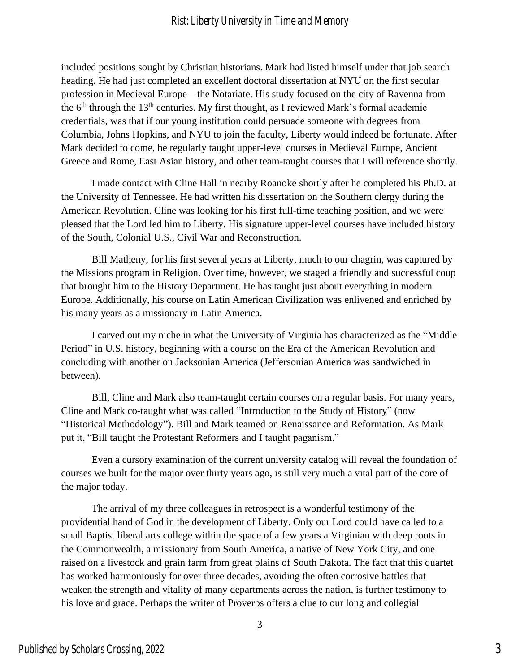## Rist: Liberty University in Time and Memory

included positions sought by Christian historians. Mark had listed himself under that job search heading. He had just completed an excellent doctoral dissertation at NYU on the first secular profession in Medieval Europe – the Notariate. His study focused on the city of Ravenna from the  $6<sup>th</sup>$  through the 13<sup>th</sup> centuries. My first thought, as I reviewed Mark's formal academic credentials, was that if our young institution could persuade someone with degrees from Columbia, Johns Hopkins, and NYU to join the faculty, Liberty would indeed be fortunate. After Mark decided to come, he regularly taught upper-level courses in Medieval Europe, Ancient Greece and Rome, East Asian history, and other team-taught courses that I will reference shortly.

I made contact with Cline Hall in nearby Roanoke shortly after he completed his Ph.D. at the University of Tennessee. He had written his dissertation on the Southern clergy during the American Revolution. Cline was looking for his first full-time teaching position, and we were pleased that the Lord led him to Liberty. His signature upper-level courses have included history of the South, Colonial U.S., Civil War and Reconstruction.

Bill Matheny, for his first several years at Liberty, much to our chagrin, was captured by the Missions program in Religion. Over time, however, we staged a friendly and successful coup that brought him to the History Department. He has taught just about everything in modern Europe. Additionally, his course on Latin American Civilization was enlivened and enriched by his many years as a missionary in Latin America.

I carved out my niche in what the University of Virginia has characterized as the "Middle Period" in U.S. history, beginning with a course on the Era of the American Revolution and concluding with another on Jacksonian America (Jeffersonian America was sandwiched in between).

Bill, Cline and Mark also team-taught certain courses on a regular basis. For many years, Cline and Mark co-taught what was called "Introduction to the Study of History" (now "Historical Methodology"). Bill and Mark teamed on Renaissance and Reformation. As Mark put it, "Bill taught the Protestant Reformers and I taught paganism."

Even a cursory examination of the current university catalog will reveal the foundation of courses we built for the major over thirty years ago, is still very much a vital part of the core of the major today.

The arrival of my three colleagues in retrospect is a wonderful testimony of the providential hand of God in the development of Liberty. Only our Lord could have called to a small Baptist liberal arts college within the space of a few years a Virginian with deep roots in the Commonwealth, a missionary from South America, a native of New York City, and one raised on a livestock and grain farm from great plains of South Dakota. The fact that this quartet has worked harmoniously for over three decades, avoiding the often corrosive battles that weaken the strength and vitality of many departments across the nation, is further testimony to his love and grace. Perhaps the writer of Proverbs offers a clue to our long and collegial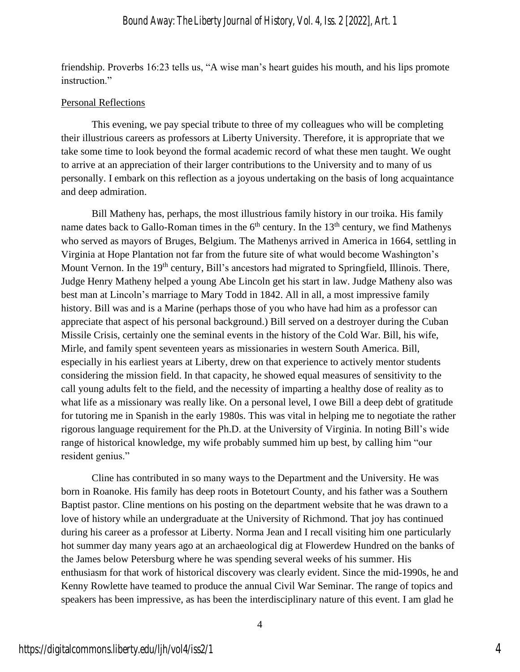friendship. Proverbs 16:23 tells us, "A wise man's heart guides his mouth, and his lips promote instruction."

#### Personal Reflections

This evening, we pay special tribute to three of my colleagues who will be completing their illustrious careers as professors at Liberty University. Therefore, it is appropriate that we take some time to look beyond the formal academic record of what these men taught. We ought to arrive at an appreciation of their larger contributions to the University and to many of us personally. I embark on this reflection as a joyous undertaking on the basis of long acquaintance and deep admiration.

Bill Matheny has, perhaps, the most illustrious family history in our troika. His family name dates back to Gallo-Roman times in the  $6<sup>th</sup>$  century. In the 13<sup>th</sup> century, we find Mathenys who served as mayors of Bruges, Belgium. The Mathenys arrived in America in 1664, settling in Virginia at Hope Plantation not far from the future site of what would become Washington's Mount Vernon. In the 19<sup>th</sup> century, Bill's ancestors had migrated to Springfield, Illinois. There, Judge Henry Matheny helped a young Abe Lincoln get his start in law. Judge Matheny also was best man at Lincoln's marriage to Mary Todd in 1842. All in all, a most impressive family history. Bill was and is a Marine (perhaps those of you who have had him as a professor can appreciate that aspect of his personal background.) Bill served on a destroyer during the Cuban Missile Crisis, certainly one the seminal events in the history of the Cold War. Bill, his wife, Mirle, and family spent seventeen years as missionaries in western South America. Bill, especially in his earliest years at Liberty, drew on that experience to actively mentor students considering the mission field. In that capacity, he showed equal measures of sensitivity to the call young adults felt to the field, and the necessity of imparting a healthy dose of reality as to what life as a missionary was really like. On a personal level, I owe Bill a deep debt of gratitude for tutoring me in Spanish in the early 1980s. This was vital in helping me to negotiate the rather rigorous language requirement for the Ph.D. at the University of Virginia. In noting Bill's wide range of historical knowledge, my wife probably summed him up best, by calling him "our resident genius."

Cline has contributed in so many ways to the Department and the University. He was born in Roanoke. His family has deep roots in Botetourt County, and his father was a Southern Baptist pastor. Cline mentions on his posting on the department website that he was drawn to a love of history while an undergraduate at the University of Richmond. That joy has continued during his career as a professor at Liberty. Norma Jean and I recall visiting him one particularly hot summer day many years ago at an archaeological dig at Flowerdew Hundred on the banks of the James below Petersburg where he was spending several weeks of his summer. His enthusiasm for that work of historical discovery was clearly evident. Since the mid-1990s, he and Kenny Rowlette have teamed to produce the annual Civil War Seminar. The range of topics and speakers has been impressive, as has been the interdisciplinary nature of this event. I am glad he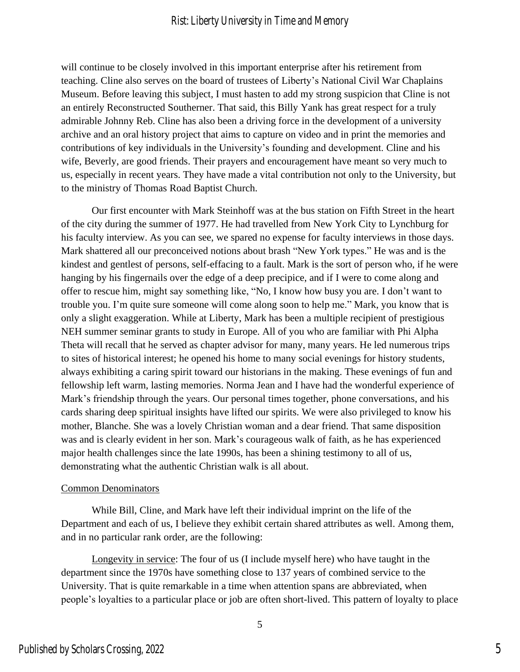## Rist: Liberty University in Time and Memory

will continue to be closely involved in this important enterprise after his retirement from teaching. Cline also serves on the board of trustees of Liberty's National Civil War Chaplains Museum. Before leaving this subject, I must hasten to add my strong suspicion that Cline is not an entirely Reconstructed Southerner. That said, this Billy Yank has great respect for a truly admirable Johnny Reb. Cline has also been a driving force in the development of a university archive and an oral history project that aims to capture on video and in print the memories and contributions of key individuals in the University's founding and development. Cline and his wife, Beverly, are good friends. Their prayers and encouragement have meant so very much to us, especially in recent years. They have made a vital contribution not only to the University, but to the ministry of Thomas Road Baptist Church.

Our first encounter with Mark Steinhoff was at the bus station on Fifth Street in the heart of the city during the summer of 1977. He had travelled from New York City to Lynchburg for his faculty interview. As you can see, we spared no expense for faculty interviews in those days. Mark shattered all our preconceived notions about brash "New York types." He was and is the kindest and gentlest of persons, self-effacing to a fault. Mark is the sort of person who, if he were hanging by his fingernails over the edge of a deep precipice, and if I were to come along and offer to rescue him, might say something like, "No, I know how busy you are. I don't want to trouble you. I'm quite sure someone will come along soon to help me." Mark, you know that is only a slight exaggeration. While at Liberty, Mark has been a multiple recipient of prestigious NEH summer seminar grants to study in Europe. All of you who are familiar with Phi Alpha Theta will recall that he served as chapter advisor for many, many years. He led numerous trips to sites of historical interest; he opened his home to many social evenings for history students, always exhibiting a caring spirit toward our historians in the making. These evenings of fun and fellowship left warm, lasting memories. Norma Jean and I have had the wonderful experience of Mark's friendship through the years. Our personal times together, phone conversations, and his cards sharing deep spiritual insights have lifted our spirits. We were also privileged to know his mother, Blanche. She was a lovely Christian woman and a dear friend. That same disposition was and is clearly evident in her son. Mark's courageous walk of faith, as he has experienced major health challenges since the late 1990s, has been a shining testimony to all of us, demonstrating what the authentic Christian walk is all about.

#### Common Denominators

While Bill, Cline, and Mark have left their individual imprint on the life of the Department and each of us, I believe they exhibit certain shared attributes as well. Among them, and in no particular rank order, are the following:

Longevity in service: The four of us (I include myself here) who have taught in the department since the 1970s have something close to 137 years of combined service to the University. That is quite remarkable in a time when attention spans are abbreviated, when people's loyalties to a particular place or job are often short-lived. This pattern of loyalty to place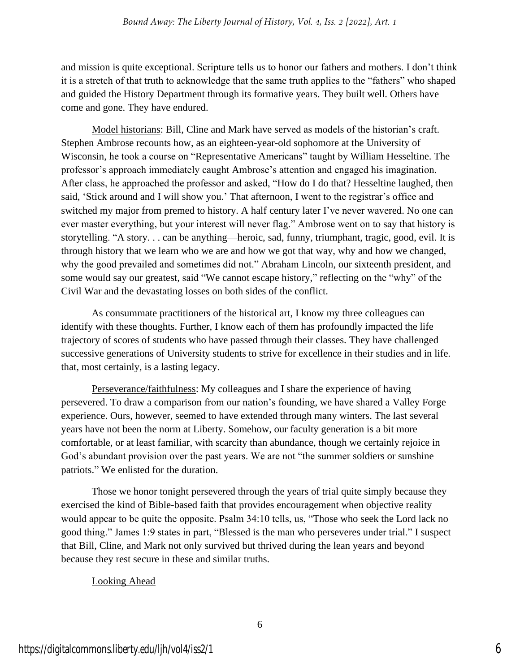and mission is quite exceptional. Scripture tells us to honor our fathers and mothers. I don't think it is a stretch of that truth to acknowledge that the same truth applies to the "fathers" who shaped and guided the History Department through its formative years. They built well. Others have come and gone. They have endured.

Model historians: Bill, Cline and Mark have served as models of the historian's craft. Stephen Ambrose recounts how, as an eighteen-year-old sophomore at the University of Wisconsin, he took a course on "Representative Americans" taught by William Hesseltine. The professor's approach immediately caught Ambrose's attention and engaged his imagination. After class, he approached the professor and asked, "How do I do that? Hesseltine laughed, then said, 'Stick around and I will show you.' That afternoon, I went to the registrar's office and switched my major from premed to history. A half century later I've never wavered. No one can ever master everything, but your interest will never flag." Ambrose went on to say that history is storytelling. "A story. . . can be anything—heroic, sad, funny, triumphant, tragic, good, evil. It is through history that we learn who we are and how we got that way, why and how we changed, why the good prevailed and sometimes did not." Abraham Lincoln, our sixteenth president, and some would say our greatest, said "We cannot escape history," reflecting on the "why" of the Civil War and the devastating losses on both sides of the conflict.

As consummate practitioners of the historical art, I know my three colleagues can identify with these thoughts. Further, I know each of them has profoundly impacted the life trajectory of scores of students who have passed through their classes. They have challenged successive generations of University students to strive for excellence in their studies and in life. that, most certainly, is a lasting legacy.

Perseverance/faithfulness: My colleagues and I share the experience of having persevered. To draw a comparison from our nation's founding, we have shared a Valley Forge experience. Ours, however, seemed to have extended through many winters. The last several years have not been the norm at Liberty. Somehow, our faculty generation is a bit more comfortable, or at least familiar, with scarcity than abundance, though we certainly rejoice in God's abundant provision over the past years. We are not "the summer soldiers or sunshine patriots." We enlisted for the duration.

Those we honor tonight persevered through the years of trial quite simply because they exercised the kind of Bible-based faith that provides encouragement when objective reality would appear to be quite the opposite. Psalm 34:10 tells, us, "Those who seek the Lord lack no good thing." James 1:9 states in part, "Blessed is the man who perseveres under trial." I suspect that Bill, Cline, and Mark not only survived but thrived during the lean years and beyond because they rest secure in these and similar truths.

## Looking Ahead